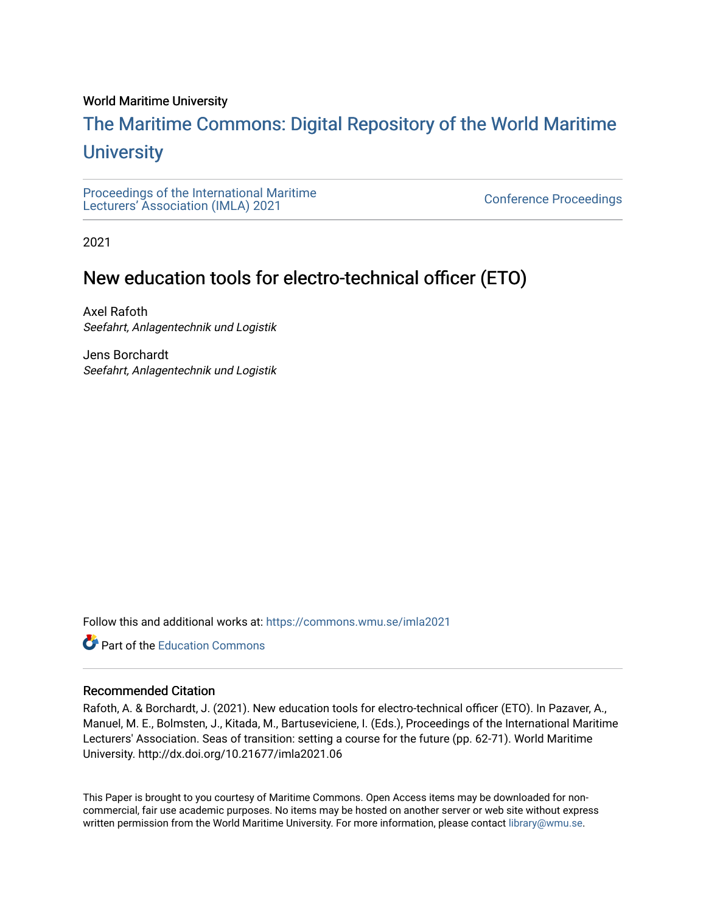#### World Maritime University

# [The Maritime Commons: Digital Repository of the World Maritime](https://commons.wmu.se/)  **University**

[Proceedings of the International Maritime](https://commons.wmu.se/imla2021)  Proceedings of the international manufacture<br>[Lecturers' Association \(IMLA\) 2021](https://commons.wmu.se/imla2021)

2021

# New education tools for electro-technical officer (ETO)

Axel Rafoth Seefahrt, Anlagentechnik und Logistik

Jens Borchardt Seefahrt, Anlagentechnik und Logistik

Follow this and additional works at: [https://commons.wmu.se/imla2021](https://commons.wmu.se/imla2021?utm_source=commons.wmu.se%2Fimla2021%2F7&utm_medium=PDF&utm_campaign=PDFCoverPages)

**C** Part of the [Education Commons](http://network.bepress.com/hgg/discipline/784?utm_source=commons.wmu.se%2Fimla2021%2F7&utm_medium=PDF&utm_campaign=PDFCoverPages)

#### Recommended Citation

Rafoth, A. & Borchardt, J. (2021). New education tools for electro-technical officer (ETO). In Pazaver, A., Manuel, M. E., Bolmsten, J., Kitada, M., Bartuseviciene, I. (Eds.), Proceedings of the International Maritime Lecturers' Association. Seas of transition: setting a course for the future (pp. 62-71). World Maritime University. http://dx.doi.org/10.21677/imla2021.06

This Paper is brought to you courtesy of Maritime Commons. Open Access items may be downloaded for noncommercial, fair use academic purposes. No items may be hosted on another server or web site without express written permission from the World Maritime University. For more information, please contact [library@wmu.se](mailto:library@wmu.edu).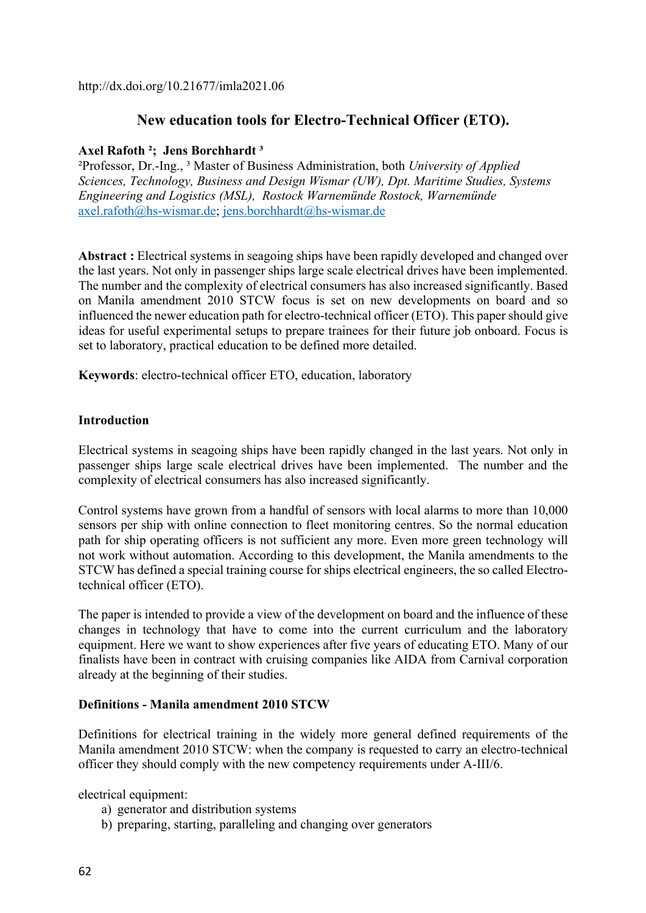http://dx.doi.org/10.21677/imla2021.06

### **New education tools for Electro-Technical Officer (ETO).**

#### **Axel Rafoth ²; Jens Borchhardt ³**

²Professor, Dr.-Ing., ³ Master of Business Administration, both *University of Applied Sciences, Technology, Business and Design Wismar (UW), Dpt. Maritime Studies, Systems Engineering and Logistics (MSL), Rostock Warnemünde Rostock, Warnemünde*  axel.rafoth@hs-wismar.de; jens.borchhardt@hs-wismar.de

**Abstract :** Electrical systems in seagoing ships have been rapidly developed and changed over the last years. Not only in passenger ships large scale electrical drives have been implemented. The number and the complexity of electrical consumers has also increased significantly. Based on Manila amendment 2010 STCW focus is set on new developments on board and so influenced the newer education path for electro-technical officer (ETO). This paper should give ideas for useful experimental setups to prepare trainees for their future job onboard. Focus is set to laboratory, practical education to be defined more detailed.

**Keywords**: electro-technical officer ETO, education, laboratory

#### **Introduction**

Electrical systems in seagoing ships have been rapidly changed in the last years. Not only in passenger ships large scale electrical drives have been implemented. The number and the complexity of electrical consumers has also increased significantly.

Control systems have grown from a handful of sensors with local alarms to more than 10,000 sensors per ship with online connection to fleet monitoring centres. So the normal education path for ship operating officers is not sufficient any more. Even more green technology will not work without automation. According to this development, the Manila amendments to the STCW has defined a special training course for ships electrical engineers, the so called Electrotechnical officer (ETO).

The paper is intended to provide a view of the development on board and the influence of these changes in technology that have to come into the current curriculum and the laboratory equipment. Here we want to show experiences after five years of educating ETO. Many of our finalists have been in contract with cruising companies like AIDA from Carnival corporation already at the beginning of their studies.

#### **Definitions - Manila amendment 2010 STCW**

Definitions for electrical training in the widely more general defined requirements of the Manila amendment 2010 STCW: when the company is requested to carry an electro-technical officer they should comply with the new competency requirements under A-III/6.

electrical equipment:

- a) generator and distribution systems
- b) preparing, starting, paralleling and changing over generators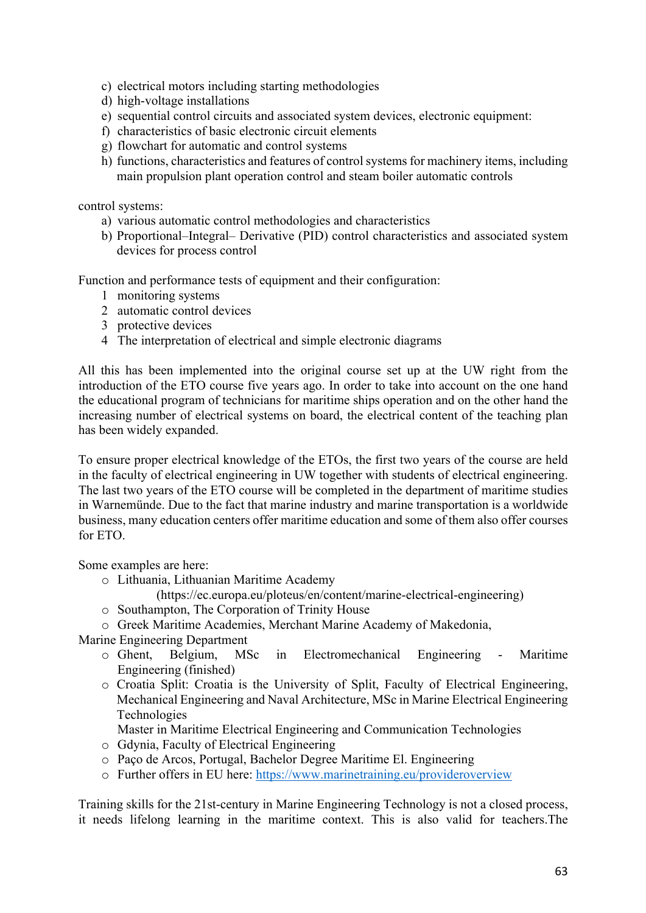- c) electrical motors including starting methodologies
- d) high-voltage installations
- e) sequential control circuits and associated system devices, electronic equipment:
- f) characteristics of basic electronic circuit elements
- g) flowchart for automatic and control systems
- h) functions, characteristics and features of control systems for machinery items, including main propulsion plant operation control and steam boiler automatic controls

control systems:

- a) various automatic control methodologies and characteristics
- b) Proportional–Integral– Derivative (PID) control characteristics and associated system devices for process control

Function and performance tests of equipment and their configuration:

- 1 monitoring systems
- 2 automatic control devices
- 3 protective devices
- 4 The interpretation of electrical and simple electronic diagrams

All this has been implemented into the original course set up at the UW right from the introduction of the ETO course five years ago. In order to take into account on the one hand the educational program of technicians for maritime ships operation and on the other hand the increasing number of electrical systems on board, the electrical content of the teaching plan has been widely expanded.

To ensure proper electrical knowledge of the ETOs, the first two years of the course are held in the faculty of electrical engineering in UW together with students of electrical engineering. The last two years of the ETO course will be completed in the department of maritime studies in Warnemünde. Due to the fact that marine industry and marine transportation is a worldwide business, many education centers offer maritime education and some of them also offer courses for ETO.

Some examples are here:

o Lithuania, Lithuanian Maritime Academy

(https://ec.europa.eu/ploteus/en/content/marine-electrical-engineering)

- o Southampton, The Corporation of Trinity House
- o Greek Maritime Academies, Merchant Marine Academy of Makedonia,

Marine Engineering Department

- o Ghent, Belgium, MSc in Electromechanical Engineering Maritime Engineering (finished)
- o Croatia Split: Croatia is the University of Split, Faculty of Electrical Engineering, Mechanical Engineering and Naval Architecture, MSc in Marine Electrical Engineering Technologies

Master in Maritime Electrical Engineering and Communication Technologies

- o Gdynia, Faculty of Electrical Engineering
- o Paço de Arcos, Portugal, Bachelor Degree Maritime El. Engineering
- o Further offers in EU here: https://www.marinetraining.eu/provideroverview

Training skills for the 21st-century in Marine Engineering Technology is not a closed process, it needs lifelong learning in the maritime context. This is also valid for teachers.The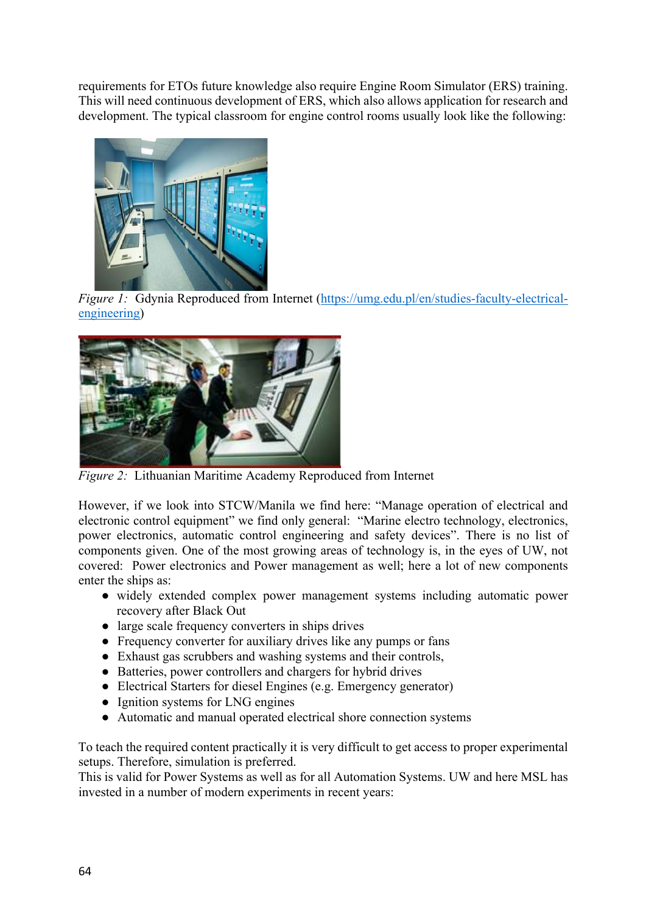requirements for ETOs future knowledge also require Engine Room Simulator (ERS) training. This will need continuous development of ERS, which also allows application for research and development. The typical classroom for engine control rooms usually look like the following:



*Figure 1:* Gdynia Reproduced from Internet (https://umg.edu.pl/en/studies-faculty-electricalengineering)



*Figure 2:* Lithuanian Maritime Academy Reproduced from Internet

However, if we look into STCW/Manila we find here: "Manage operation of electrical and electronic control equipment" we find only general: "Marine electro technology, electronics, power electronics, automatic control engineering and safety devices". There is no list of components given. One of the most growing areas of technology is, in the eyes of UW, not covered: Power electronics and Power management as well; here a lot of new components enter the ships as:

- widely extended complex power management systems including automatic power recovery after Black Out
- large scale frequency converters in ships drives
- Frequency converter for auxiliary drives like any pumps or fans
- Exhaust gas scrubbers and washing systems and their controls,
- Batteries, power controllers and chargers for hybrid drives
- Electrical Starters for diesel Engines (e.g. Emergency generator)
- Ignition systems for LNG engines
- Automatic and manual operated electrical shore connection systems

To teach the required content practically it is very difficult to get access to proper experimental setups. Therefore, simulation is preferred.

This is valid for Power Systems as well as for all Automation Systems. UW and here MSL has invested in a number of modern experiments in recent years: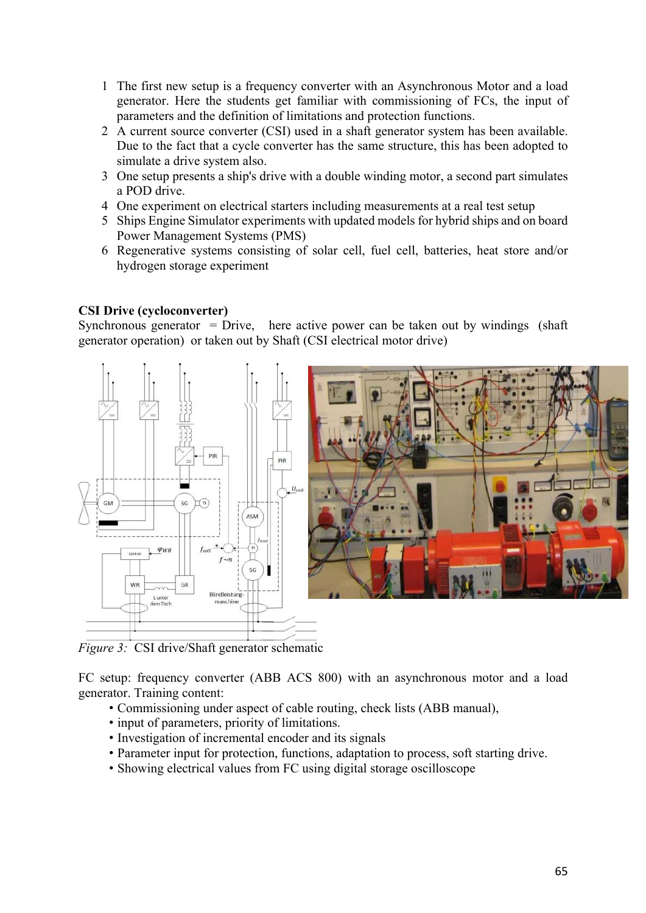- 1 The first new setup is a frequency converter with an Asynchronous Motor and a load generator. Here the students get familiar with commissioning of FCs, the input of parameters and the definition of limitations and protection functions.
- 2 A current source converter (CSI) used in a shaft generator system has been available. Due to the fact that a cycle converter has the same structure, this has been adopted to simulate a drive system also.
- 3 One setup presents a ship's drive with a double winding motor, a second part simulates a POD drive.
- 4 One experiment on electrical starters including measurements at a real test setup
- 5 Ships Engine Simulator experiments with updated models for hybrid ships and on board Power Management Systems (PMS)
- 6 Regenerative systems consisting of solar cell, fuel cell, batteries, heat store and/or hydrogen storage experiment

#### **CSI Drive (cycloconverter)**

Synchronous generator = Drive, here active power can be taken out by windings (shaft generator operation) or taken out by Shaft (CSI electrical motor drive)



*Figure 3:* CSI drive/Shaft generator schematic

FC setup: frequency converter (ABB ACS 800) with an asynchronous motor and a load generator. Training content:

- Commissioning under aspect of cable routing, check lists (ABB manual),
- input of parameters, priority of limitations.
- Investigation of incremental encoder and its signals
- Parameter input for protection, functions, adaptation to process, soft starting drive.
- Showing electrical values from FC using digital storage oscilloscope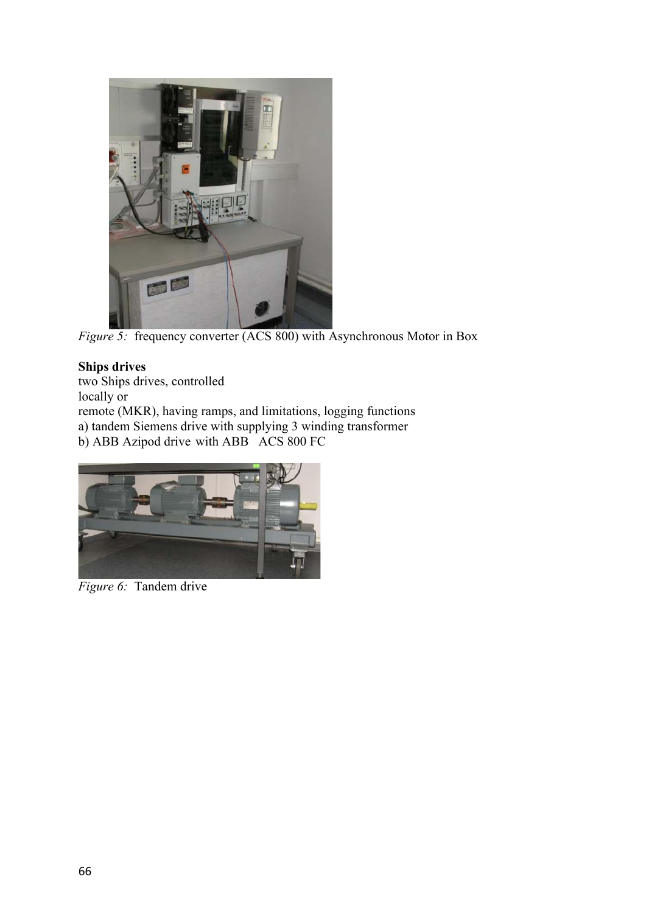

*Figure 5:* frequency converter (ACS 800) with Asynchronous Motor in Box

# **Ships drives**

two Ships drives, controlled

locally or

remote (MKR), having ramps, and limitations, logging functions

a) tandem Siemens drive with supplying 3 winding transformer

b) ABB Azipod drive with ABB ACS 800 FC



*Figure 6:* Tandem drive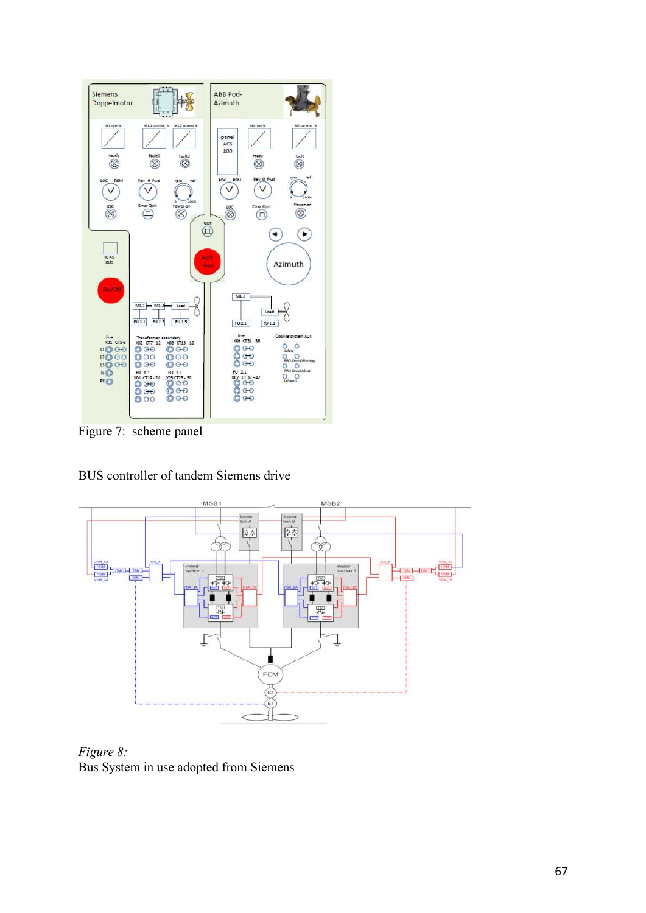

Figure 7: scheme panel



BUS controller of tandem Siemens drive

*Figure 8:*  Bus System in use adopted from Siemens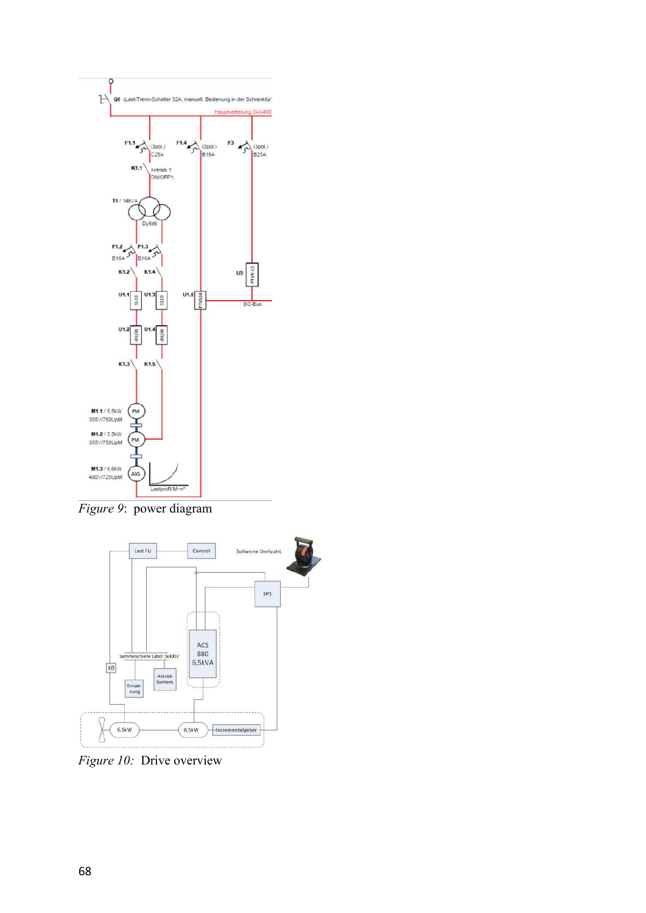

*Figure 9*: power diagram



*Figure 10:* Drive overview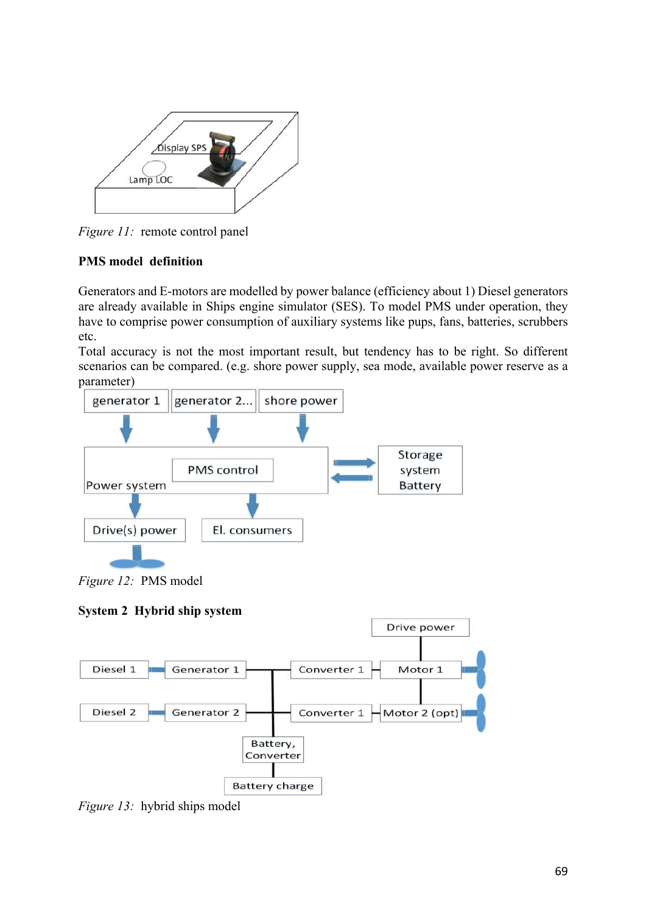

*Figure 11:* remote control panel

# **PMS model definition**

Generators and E-motors are modelled by power balance (efficiency about 1) Diesel generators are already available in Ships engine simulator (SES). To model PMS under operation, they have to comprise power consumption of auxiliary systems like pups, fans, batteries, scrubbers etc.

Total accuracy is not the most important result, but tendency has to be right. So different scenarios can be compared. (e.g. shore power supply, sea mode, available power reserve as a parameter)



*Figure 12:* PMS model

### **System 2 Hybrid ship system**



*Figure 13:* hybrid ships model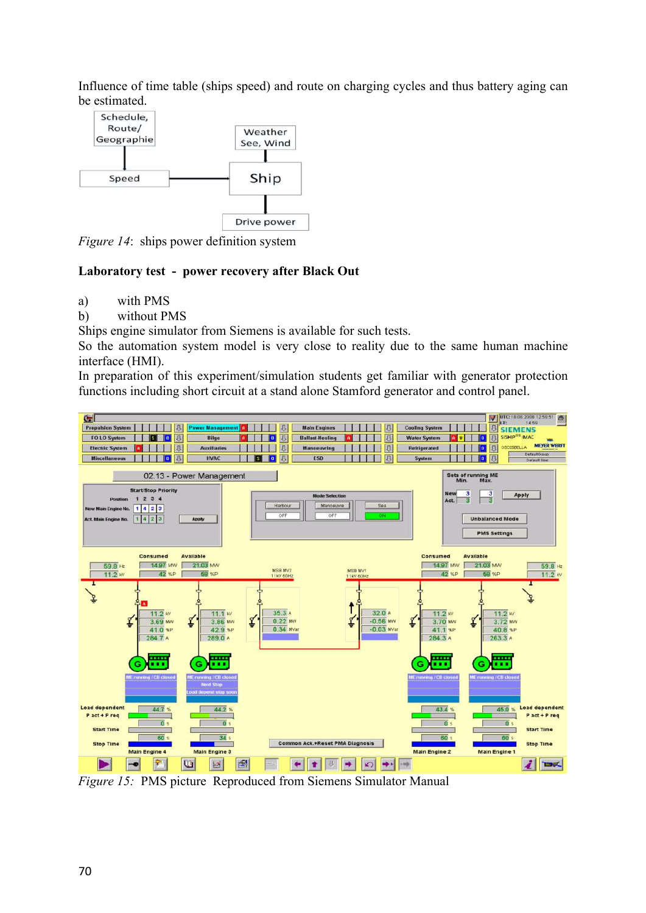Influence of time table (ships speed) and route on charging cycles and thus battery aging can be estimated.



*Figure 14*: ships power definition system

#### **Laboratory test - power recovery after Black Out**

- a) with PMS
- b) without PMS

Ships engine simulator from Siemens is available for such tests.

So the automation system model is very close to reality due to the same human machine interface (HMI).

In preparation of this experiment/simulation students get familiar with generator protection functions including short circuit at a stand alone Stamford generator and control panel.



*Figure 15:* PMS picture Reproduced from Siemens Simulator Manual